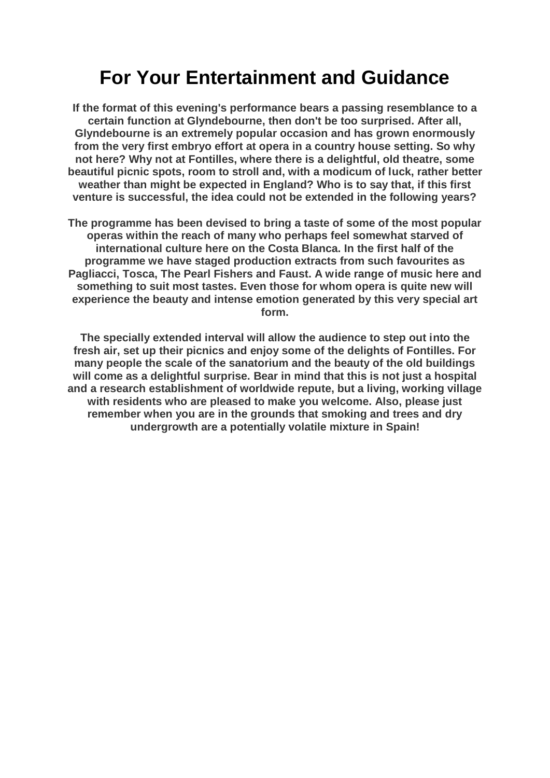## **For Your Entertainment and Guidance**

**If the format of this evening's performance bears a passing resemblance to a certain function at Glyndebourne, then don't be too surprised. After all, Glyndebourne is an extremely popular occasion and has grown enormously from the very first embryo effort at opera in a country house setting. So why not here? Why not at Fontilles, where there is a delightful, old theatre, some beautiful picnic spots, room to stroll and, with a modicum of luck, rather better weather than might be expected in England? Who is to say that, if this first venture is successful, the idea could not be extended in the following years?**

**The programme has been devised to bring a taste of some of the most popular operas within the reach of many who perhaps feel somewhat starved of international culture here on the Costa Blanca. In the first half of the programme we have staged production extracts from such favourites as Pagliacci, Tosca, The Pearl Fishers and Faust. A wide range of music here and something to suit most tastes. Even those for whom opera is quite new will experience the beauty and intense emotion generated by this very special art form.**

**The specially extended interval will allow the audience to step out into the fresh air, set up their picnics and enjoy some of the delights of Fontilles. For many people the scale of the sanatorium and the beauty of the old buildings will come as a delightful surprise. Bear in mind that this is not just a hospital and a research establishment of worldwide repute, but a living, working village with residents who are pleased to make you welcome. Also, please just remember when you are in the grounds that smoking and trees and dry undergrowth are a potentially volatile mixture in Spain!**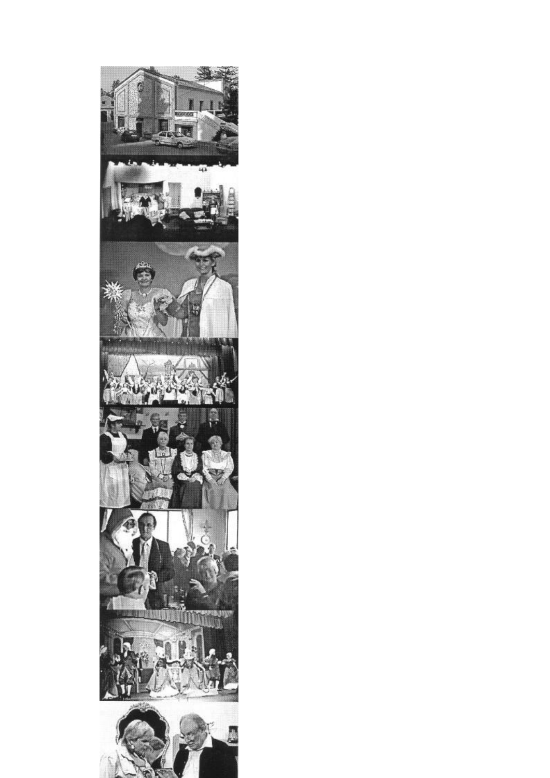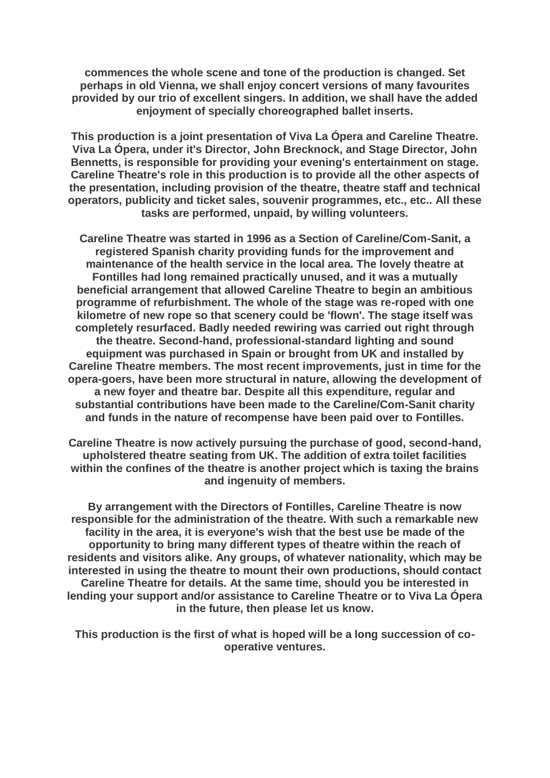**commences the whole scene and tone of the production is changed. Set perhaps in old Vienna, we shall enjoy concert versions of many favourites provided by our trio of excellent singers. In addition, we shall have the added enjoyment of specially choreographed ballet inserts.**

**This production is a joint presentation of Viva La Ópera and Careline Theatre. Viva La Ópera, under it's Director, John Brecknock, and Stage Director, John Bennetts, is responsible for providing your evening's entertainment on stage. Careline Theatre's role in this production is to provide all the other aspects of the presentation, including provision of the theatre, theatre staff and technical operators, publicity and ticket sales, souvenir programmes, etc., etc.. All these tasks are performed, unpaid, by willing volunteers.**

**Careline Theatre was started in 1996 as a Section of Careline/Com-Sanit, a registered Spanish charity providing funds for the improvement and maintenance of the health service in the local area. The lovely theatre at Fontilles had long remained practically unused, and it was a mutually beneficial arrangement that allowed Careline Theatre to begin an ambitious programme of refurbishment. The whole of the stage was re-roped with one kilometre of new rope so that scenery could be 'flown'. The stage itself was completely resurfaced. Badly needed rewiring was carried out right through the theatre. Second-hand, professional-standard lighting and sound equipment was purchased in Spain or brought from UK and installed by Careline Theatre members. The most recent improvements, just in time for the opera-goers, have been more structural in nature, allowing the development of a new foyer and theatre bar. Despite all this expenditure, regular and substantial contributions have been made to the Careline/Com-Sanit charity and funds in the nature of recompense have been paid over to Fontilles.**

**Careline Theatre is now actively pursuing the purchase of good, second-hand, upholstered theatre seating from UK. The addition of extra toilet facilities within the confines of the theatre is another project which is taxing the brains and ingenuity of members.**

**By arrangement with the Directors of Fontilles, Careline Theatre is now responsible for the administration of the theatre. With such a remarkable new facility in the area, it is everyone's wish that the best use be made of the opportunity to bring many different types of theatre within the reach of residents and visitors alike. Any groups, of whatever nationality, which may be interested in using the theatre to mount their own productions, should contact Careline Theatre for details. At the same time, should you be interested in lending your support and/or assistance to Careline Theatre or to Viva La Ópera in the future, then please let us know.**

**This production is the first of what is hoped will be a long succession of cooperative ventures.**